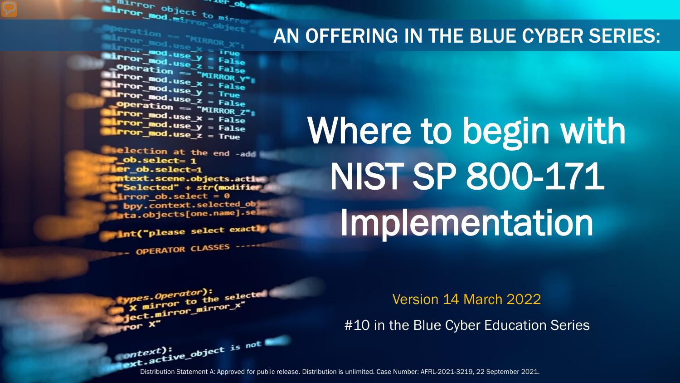The object to minimum and the community of the main of the main of the main of the main of the main of the main of the main of the main of the main of the main of the main of the main of the main of the main of the main of **Error** object to mirror ...er\_ob

Peration == "MIRROR\_X";<br>|Pror\_mod.use x \_\_\_\_\_<br>|Pror\_mod.use x \_\_\_\_\_\_ **Mirror\_mod.use X = True**<br>Mirror\_mod.use X = True<br>Mirror\_mod.use y = True  $\begin{array}{rcl} \text{Unreal} & \text{Unreal} \ \text{In} & \text{In} & \text{In} \\ \text{In} & \text{In} & \text{In} \\ \text{In} & \text{In} & \text{In} \\ \text{In} & \text{In} & \text{In} \\ \text{In} & \text{In} & \text{In} \\ \text{In} & \text{In} & \text{In} \\ \text{In} & \text{In} & \text{In} \\ \text{In} & \text{In} & \text{In} \\ \text{In} & \text{In} & \text{In} \\ \text{In} & \text{In} & \text{In} \\ \text{In} & \text{In} & \text{In} \\$ **Operation == False<br>IPror\_mod.use == "MIRROR\_Y" Exaction** == "MIRROR\_Y"<br>**Exaction** == "MIRROR\_Y"<br>**Exaction** == The state  $\frac{mod \cdot use_x}{irror\_mod \cdot use_x} = False$  $\frac{1}{2}$  True<br> $\frac{1}{2}$  True<br> $\frac{1}{2}$  Depending  $\frac{1}{2}$  = False **Operation == "MIRROR\_Z":**<br><u>Letter mod.use : "MIRROR\_Z</u>";  $\begin{array}{rcl} \textbf{I} \textbf{r} \textbf{r} \textbf{r} \textbf{r} \textbf{r} \textbf{r} \textbf{r} \textbf{r} \textbf{r} \textbf{r} \textbf{r} \textbf{r} \textbf{r} \textbf{r} \textbf{r} \textbf{r} \textbf{r} \textbf{r} \textbf{r} \textbf{r} \textbf{r} \textbf{r} \textbf{r} \textbf{r} \textbf{r} \textbf{r} \textbf{r} \textbf{r} \textbf{r} \textbf{r} \textbf{r} \textbf{r} \textbf{r} \textbf{r} \text$  $I$ Pror\_mod.use\_ $x = False$ <br> $I$ Pror\_mod.use\_ $y = False$  $Irror_modeluse_y = False$ 

**election at the end -add** \_ob.select= 1 er\_ob.select=1 **itext.scene.objects.activ "Selected"** + str(modifier  $Error$  ob. select =  $0$ bpy.context.selected\_ob ata.objects[one.name].sel

int("please select exactly

e*s.Operator*):<br>mirror to the selected<br>mirror mirror\_x"

OPERATOR CLASSES ----

pes.Operator):<br>n to the

**Experience** to the serve<br>**Bigget.mirror\_mirror\_x**<br>**Bigget.mirror\_mirror\_x** 

### AN OFFERING IN THE BLUE CYBER SERIES:

# Where to begin with NIST SP 800-171 Implementation

Version 14 March 2022

#10 in the Blue Cyber Education Series

Distribution Statement A: Approved for public release. Distribution is unlimited. Case Number: AFRL-2021-3219, 22 September 2021.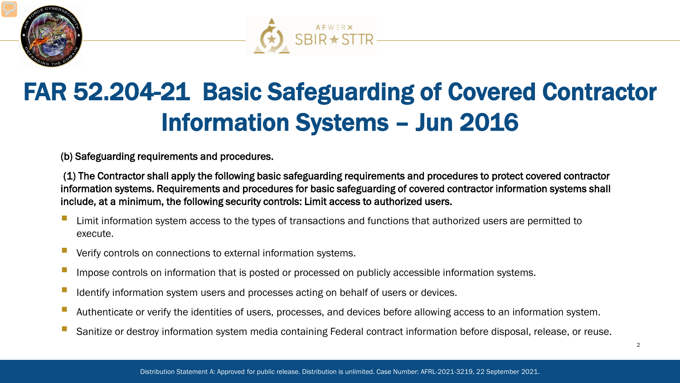



### FAR 52.204-21 Basic Safeguarding of Covered Contractor Information Systems – Jun 2016

(b) Safeguarding requirements and procedures.

(1) The Contractor shall apply the following basic safeguarding requirements and procedures to protect covered contractor information systems. Requirements and procedures for basic safeguarding of covered contractor information systems shall include, at a minimum, the following security controls: Limit access to authorized users.

- Limit information system access to the types of transactions and functions that authorized users are permitted to execute.
- Verify controls on connections to external information systems.
- Impose controls on information that is posted or processed on publicly accessible information systems.
- Identify information system users and processes acting on behalf of users or devices.
- Authenticate or verify the identities of users, processes, and devices before allowing access to an information system.
- Sanitize or destroy information system media containing Federal contract information before disposal, release, or reuse.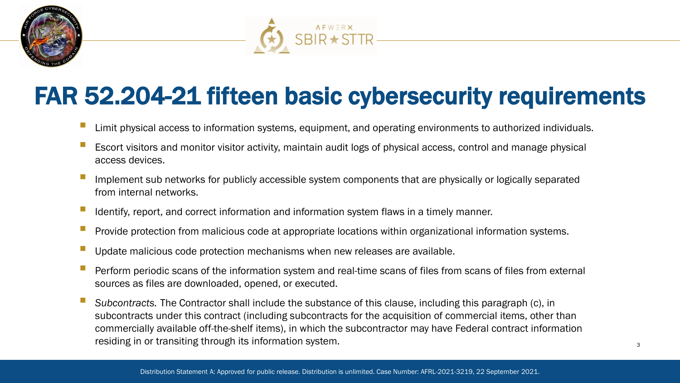



### FAR 52.204-21 fifteen basic cybersecurity requirements

- Limit physical access to information systems, equipment, and operating environments to authorized individuals.
- Escort visitors and monitor visitor activity, maintain audit logs of physical access, control and manage physical access devices.
- Implement sub networks for publicly accessible system components that are physically or logically separated from internal networks.
- Identify, report, and correct information and information system flaws in a timely manner.
- Provide protection from malicious code at appropriate locations within organizational information systems.
- Update malicious code protection mechanisms when new releases are available.
- Perform periodic scans of the information system and real-time scans of files from scans of files from external sources as files are downloaded, opened, or executed.
- *Subcontracts.* The Contractor shall include the substance of this clause, including this paragraph (c), in subcontracts under this contract (including subcontracts for the acquisition of commercial items, other than commercially available off-the-shelf items), in which the subcontractor may have Federal contract information residing in or transiting through its information system.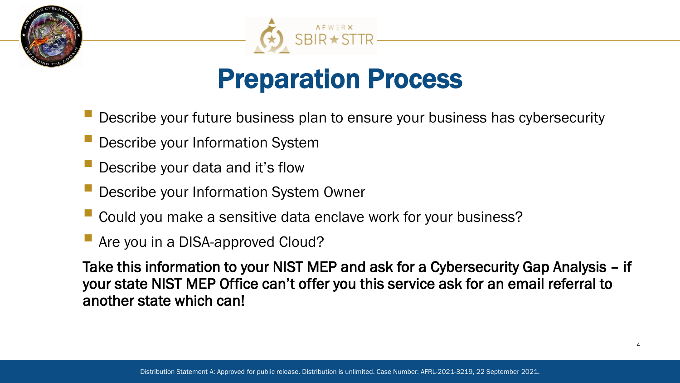



### Preparation Process

- Describe your future business plan to ensure your business has cybersecurity
- Describe your Information System
- Describe your data and it's flow
- Describe your Information System Owner
- Could you make a sensitive data enclave work for your business?
- Are you in a DISA-approved Cloud?

Take this information to your NIST MEP and ask for a Cybersecurity Gap Analysis – if your state NIST MEP Office can't offer you this service ask for an email referral to another state which can!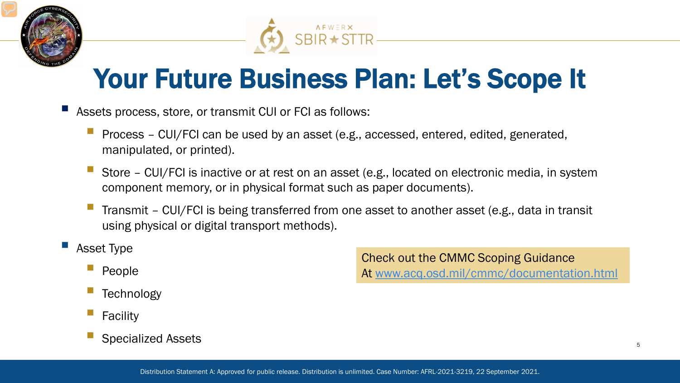



### Your Future Business Plan: Let's Scope It

- Assets process, store, or transmit CUI or FCI as follows:
	- Process CUI/FCI can be used by an asset (e.g., accessed, entered, edited, generated, manipulated, or printed).
	- Store CUI/FCI is inactive or at rest on an asset (e.g., located on electronic media, in system component memory, or in physical format such as paper documents).
	- Transmit CUI/FCI is being transferred from one asset to another asset (e.g., data in transit using physical or digital transport methods).

#### Asset Type

- People
- **Technology**
- Facility
- Specialized Assets

Check out the CMMC Scoping Guidance At [www.acq.osd.mil/cmmc/documentation.html](http://www.acq.osd.mil/cmmc/documentation.html)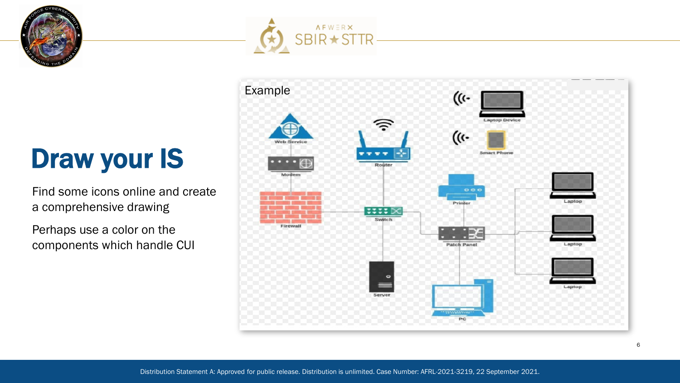

### Draw your IS

Find some icons online and create a comprehensive drawing

Perhaps use a color on the components which handle CUI





Distribution Statement A: Approved for public release. Distribution is unlimited. Case Number: AFRL-2021-3219, 22 September 2021.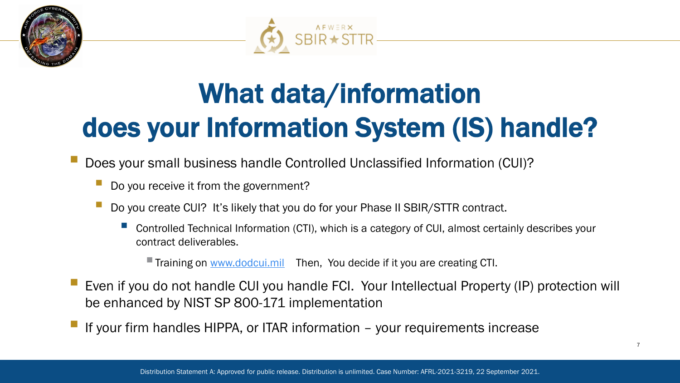



# What data/information does your Information System (IS) handle?

Does your small business handle Controlled Unclassified Information (CUI)?

- Do you receive it from the government?
- Do you create CUI? It's likely that you do for your Phase II SBIR/STTR contract.
	- Controlled Technical Information (CTI), which is a category of CUI, almost certainly describes your contract deliverables.

**Training on [www.dodcui.mil](http://www.dodcui.mil/)** Then, You decide if it you are creating CTI.

- Even if you do not handle CUI you handle FCI. Your Intellectual Property (IP) protection will be enhanced by NIST SP 800-171 implementation
- If your firm handles HIPPA, or ITAR information your requirements increase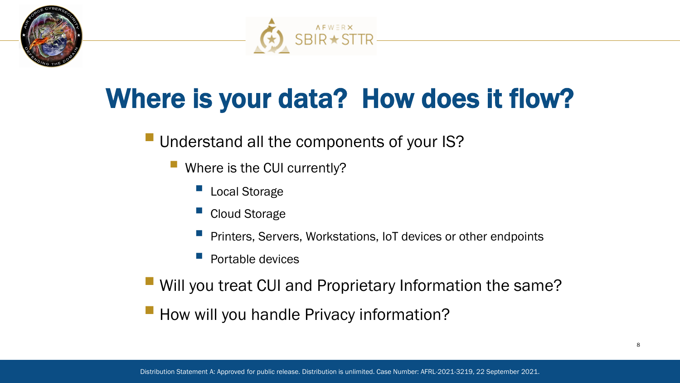



## Where is your data? How does it flow?

#### **Understand all the components of your IS?**

- Where is the CUI currently?
	- Local Storage
	- Cloud Storage
	- Printers, Servers, Workstations, IoT devices or other endpoints
	- Portable devices
- **Will you treat CUI and Proprietary Information the same?**
- **How will you handle Privacy information?**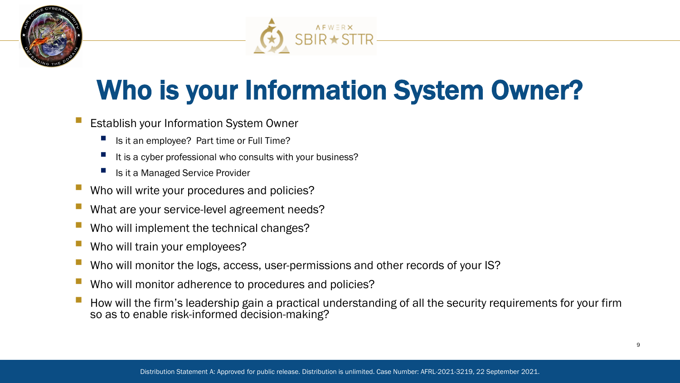



### Who is your Information System Owner?

- Establish your Information System Owner
	- Is it an employee? Part time or Full Time?
	- It is a cyber professional who consults with your business?
	- Is it a Managed Service Provider
- Who will write your procedures and policies?
- What are your service-level agreement needs?
- Who will implement the technical changes?
- Who will train your employees?
- Who will monitor the logs, access, user-permissions and other records of your IS?
- Who will monitor adherence to procedures and policies?
- How will the firm's leadership gain a practical understanding of all the security requirements for your firm so as to enable risk-informed decision-making?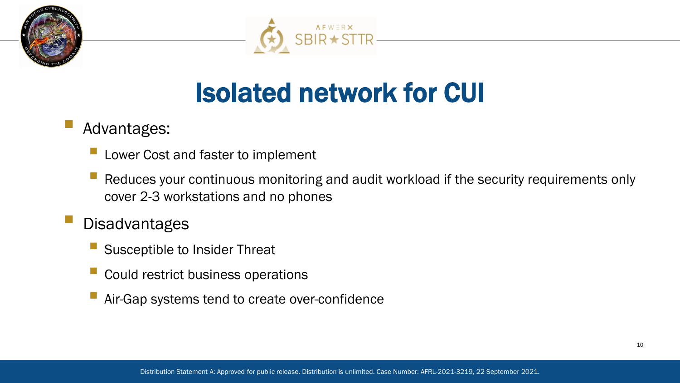



### Isolated network for CUI

### Advantages:

- Lower Cost and faster to implement
- Reduces your continuous monitoring and audit workload if the security requirements only cover 2-3 workstations and no phones
- **Disadvantages** 
	- Susceptible to Insider Threat
	- Could restrict business operations
	- Air-Gap systems tend to create over-confidence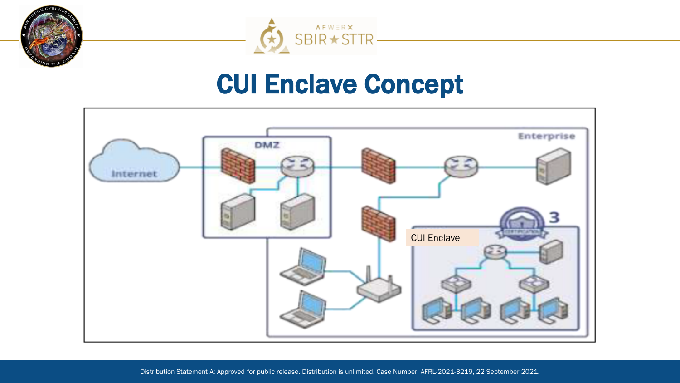



### CUI Enclave Concept

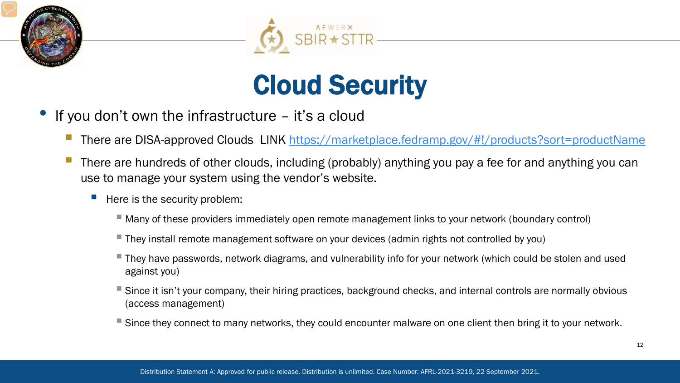



## Cloud Security

- If you don't own the infrastructure  $-$  it's a cloud
	- There are DISA-approved Clouds LINK<https://marketplace.fedramp.gov/#!/products?sort=productName>
	- There are hundreds of other clouds, including (probably) anything you pay a fee for and anything you can use to manage your system using the vendor's website.
		- Here is the security problem:
			- Many of these providers immediately open remote management links to your network (boundary control)
			- They install remote management software on your devices (admin rights not controlled by you)
			- They have passwords, network diagrams, and vulnerability info for your network (which could be stolen and used against you)
			- Since it isn't your company, their hiring practices, background checks, and internal controls are normally obvious (access management)
			- Since they connect to many networks, they could encounter malware on one client then bring it to your network.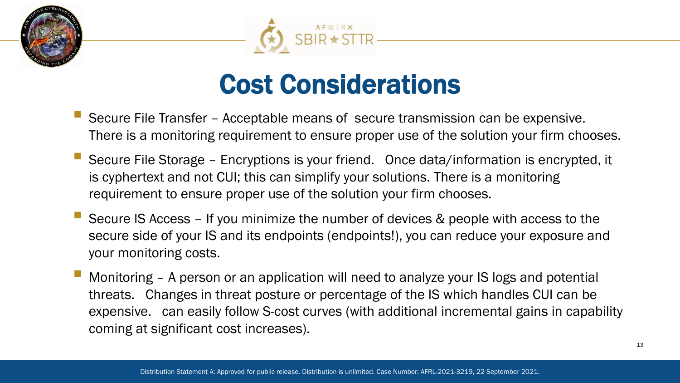



### Cost Considerations

- Secure File Transfer Acceptable means of secure transmission can be expensive. There is a monitoring requirement to ensure proper use of the solution your firm chooses.
- Secure File Storage Encryptions is your friend. Once data/information is encrypted, it is cyphertext and not CUI; this can simplify your solutions. There is a monitoring requirement to ensure proper use of the solution your firm chooses.
- Secure IS Access If you minimize the number of devices & people with access to the secure side of your IS and its endpoints (endpoints!), you can reduce your exposure and your monitoring costs.
- Monitoring A person or an application will need to analyze your IS logs and potential threats. Changes in threat posture or percentage of the IS which handles CUI can be expensive. can easily follow S-cost curves (with additional incremental gains in capability coming at significant cost increases).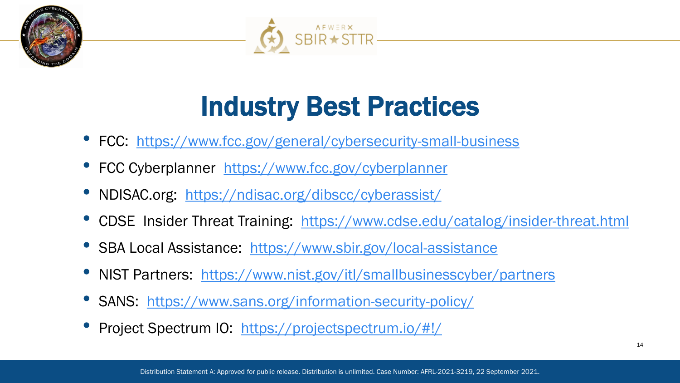



## Industry Best Practices

- FCC: <https://www.fcc.gov/general/cybersecurity-small-business>
- FCC Cyberplanner <https://www.fcc.gov/cyberplanner>
- NDISAC.org: <https://ndisac.org/dibscc/cyberassist/>
- CDSE Insider Threat Training: <https://www.cdse.edu/catalog/insider-threat.html>
- SBA Local Assistance: <https://www.sbir.gov/local-assistance>
- NIST Partners: <https://www.nist.gov/itl/smallbusinesscyber/partners>
- SANS: <https://www.sans.org/information-security-policy/>
- Project Spectrum IO: <https://projectspectrum.io/#!/>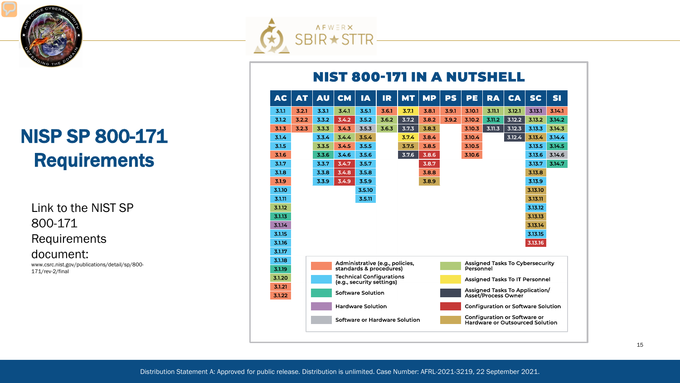

### NISP SP 800-171 **Requirements**

Link to the NIST SP 800-171 Requirements document:

www.csrc.nist.gov/publications/detail/sp/800- 171/rev-2/final



#### **NIST 800-171 IN A NUTSHELL**

| <b>AC</b> | <b>AT</b> | <b>AU</b> | <b>CM</b>                                                    | <b>IA</b> | IR    | <b>MT</b> | <b>MP</b> | <b>PS</b>                                 | PE                                                                            | <b>RA</b> | <b>CA</b> | <b>SC</b> | <b>SI</b> |
|-----------|-----------|-----------|--------------------------------------------------------------|-----------|-------|-----------|-----------|-------------------------------------------|-------------------------------------------------------------------------------|-----------|-----------|-----------|-----------|
| 3.1.1     | 3.2.1     | 3.3.1     | 3.4.1                                                        | 3.5.1     | 3.6.1 | 3.7.1     | 3.8.1     | 3.9.1                                     | 3.10.1                                                                        | 3.11.1    | 3.12.1    | 3.13.1    | 3.14.1    |
| 3.1.2     | 3.2.2     | 3.3.2     | 3.4.2                                                        | 3.5.2     | 3.6.2 | 3.7.2     | 3.8.2     | 3.9.2                                     | 3.10.2                                                                        | 3.11.2    | 3.12.2    | 3.13.2    | 3.14.2    |
| 3.1.3     | 3.2.3     | 3.3.3     | 3.4.3                                                        | 3.5.3     | 3.6.3 | 3.7.3     | 3.8.3     |                                           | 3.10.3                                                                        | 3.11.3    | 3.12.3    | 3.13.3    | 3.14.3    |
| 3.1.4     |           | 3.3.4     | 3.4.4                                                        | 3.5.4     |       | 3.7.4     | 3.8.4     |                                           | 3.10.4                                                                        |           | 3.12.4    | 3.13.4    | 3.14.4    |
| 3.1.5     |           | 3.3.5     | 3.4.5                                                        | 3.5.5     |       | 3.7.5     | 3.8.5     |                                           | 3.10.5                                                                        |           |           | 3.13.5    | 3.14.5    |
| 3.1.6     |           | 3.3.6     | 3.4.6                                                        | 3.5.6     |       | 3.7.6     | 3.8.6     |                                           | 3.10.6                                                                        |           |           | 3.13.6    | 3.14.6    |
| 3.1.7     |           | 3.3.7     | 3.4.7                                                        | 3.5.7     |       |           | 3.8.7     |                                           |                                                                               |           |           | 3.13.7    | 3.14.7    |
| 3.1.8     |           | 3.3.8     | 3.4.8                                                        | 3.5.8     |       |           | 3.8.8     |                                           |                                                                               |           |           | 3.13.8    |           |
| 3.1.9     |           | 3.3.9     | 3.4.9                                                        | 3.5.9     |       |           | 3.8.9     |                                           |                                                                               |           |           | 3.13.9    |           |
| 3.1.10    |           |           |                                                              | 3.5.10    |       |           |           |                                           |                                                                               |           |           | 3.13.10   |           |
| 3.1.11    |           |           |                                                              | 3.5.11    |       |           |           |                                           |                                                                               |           |           | 3.13.11   |           |
| 3.1.12    |           |           |                                                              |           |       |           |           |                                           |                                                                               |           |           | 3.13.12   |           |
| 3.1.13    |           |           |                                                              |           |       |           |           |                                           |                                                                               |           |           | 3.13.13   |           |
| 3.1.14    |           |           |                                                              |           |       |           |           |                                           |                                                                               |           |           | 3.13.14   |           |
| 3.1.15    |           |           |                                                              |           |       |           |           |                                           |                                                                               |           |           | 3.13.15   |           |
| 3.1.16    |           |           |                                                              |           |       |           |           |                                           |                                                                               |           |           | 3.13.16   |           |
| 3.1.17    |           |           |                                                              |           |       |           |           |                                           |                                                                               |           |           |           |           |
| 3.1.18    |           |           | Administrative (e.g., policies,                              |           |       |           |           | <b>Assigned Tasks To Cybersecurity</b>    |                                                                               |           |           |           |           |
| 3.1.19    |           |           | standards & procedures)                                      |           |       |           |           | Personnel                                 |                                                                               |           |           |           |           |
| 3.1.20    |           |           | <b>Technical Configurations</b><br>(e.g., security settings) |           |       |           |           |                                           | <b>Assigned Tasks To IT Personnel</b>                                         |           |           |           |           |
| 3.1.21    |           |           |                                                              |           |       |           |           |                                           | Assigned Tasks To Application/                                                |           |           |           |           |
| 3.1.22    |           |           | <b>Software Solution</b>                                     |           |       |           |           |                                           | Asset/Process Owner                                                           |           |           |           |           |
|           |           |           | <b>Hardware Solution</b>                                     |           |       |           |           | <b>Configuration or Software Solution</b> |                                                                               |           |           |           |           |
|           |           |           | Software or Hardware Solution                                |           |       |           |           |                                           | <b>Configuration or Software or</b><br><b>Hardware or Outsourced Solution</b> |           |           |           |           |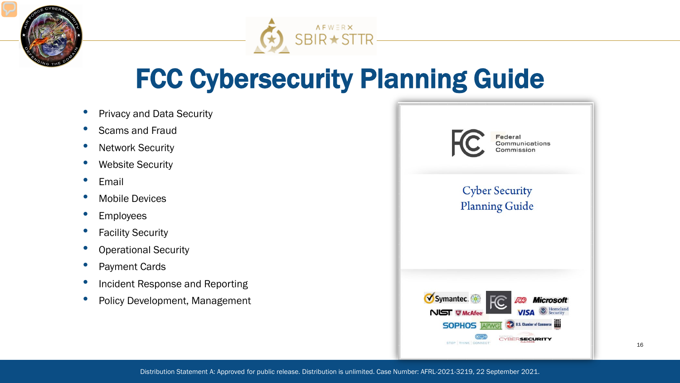



### FCC Cybersecurity Planning Guide

- Privacy and Data Security
- Scams and Fraud
- Network Security
- Website Security
- **Email**
- Mobile Devices
- **Employees**
- **Facility Security**
- Operational Security
- Payment Cards
- Incident Response and Reporting
- Policy Development, Management

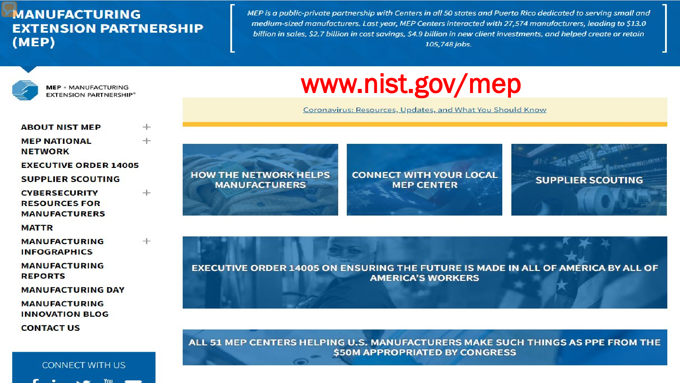#### **MANUFACTURING EXTENSION PARTNERSHIP**  $(MEP)$

MEP is a public-private partnership with Centers in all 50 states and Puerto Rico dedicated to serving small and medium-sized manufacturers. Last year, MEP Centers interacted with 27,574 manufacturers, leading to \$13.0 billion in sales, \$2.7 billion in cost savings, \$4.9 billion in new client investments, and helped create or retain 105,748 jobs.



**MEP · MANUFACTURING** EXTENSION PARTNERSHIP®

| <b>ABOUT NIST MEP</b>                                                | $+$ |
|----------------------------------------------------------------------|-----|
| <b>MEP NATIONAL</b><br><b>NETWORK</b>                                | $+$ |
| <b>EXECUTIVE ORDER 14005</b>                                         |     |
| <b>SUPPLIER SCOUTING</b>                                             |     |
| <b>CYBERSECURITY</b><br><b>RESOURCES FOR</b><br><b>MANUFACTURERS</b> | $+$ |
| <b>MATTR</b>                                                         |     |
| <b>MANUFACTURING</b><br><b>INFOGRAPHICS</b>                          | $+$ |
| <b>MANUFACTURING</b><br><b>REPORTS</b>                               |     |
| <b>MANUFACTURING DAY</b>                                             |     |
| <b>MANUFACTURING</b><br><b>INNOVATION BLOG</b><br><b>CONTACT US</b>  |     |
|                                                                      |     |

**CONNECT WITH US** 

### www.nist.gov/mep

Coronavirus: Resources, Updates, and What You Should Know



Distribution Statement A: Approved for public release. Distribution is unlimited. Case Number: AFRL-2021-3219, 22 September 2021.

**CONNECT WITH YOUR LOCAL MEP CENTER** 



EXECUTIVE ORDER 14005 ON ENSURING THE FUTURE IS MADE IN ALL OF AMERICA BY ALL OF **AMERICA'S WORKERS** 

ALL 51 MEP CENTERS HELPING U.S. MANUFACTURERS MAKE SUCH THINGS AS PPE FROM THE **\$50M APPROPRIATED BY CONGRESS**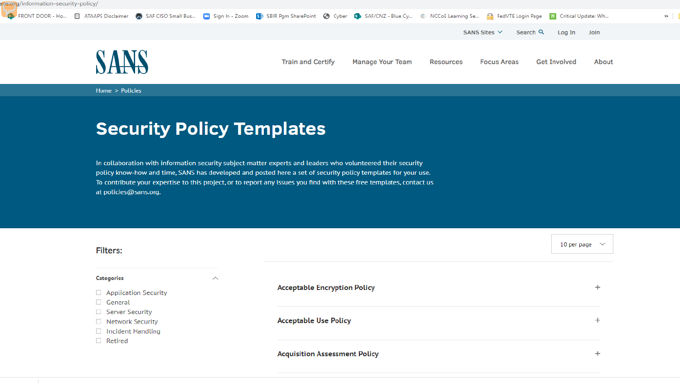ans.org/information-security-policy/



Home > Policies

#### **Security Policy Templates**

In collaboration with information security subject-matter experts and leaders who volunteered their security policy know-how and time, SANS has developed and posted here a set of security policy templates for your use. To contribute your expertise to this project, or to report any issues you find with these free templates, contact us at policies@sans.org.

| <b>Filters:</b>                                                               |                    |                                      | 10 per page $\vee$ |
|-------------------------------------------------------------------------------|--------------------|--------------------------------------|--------------------|
| <b>Categories</b>                                                             | $\curvearrowright$ |                                      |                    |
| Application Security<br>$\Box$ General                                        |                    | <b>Acceptable Encryption Policy</b>  |                    |
| $\Box$ Server Security<br>$\Box$ Network Security<br>$\Box$ Incident Handling |                    | <b>Acceptable Use Policy</b>         | ÷                  |
| $\Box$ Retired                                                                |                    | <b>Acquisition Assessment Policy</b> | ÷                  |